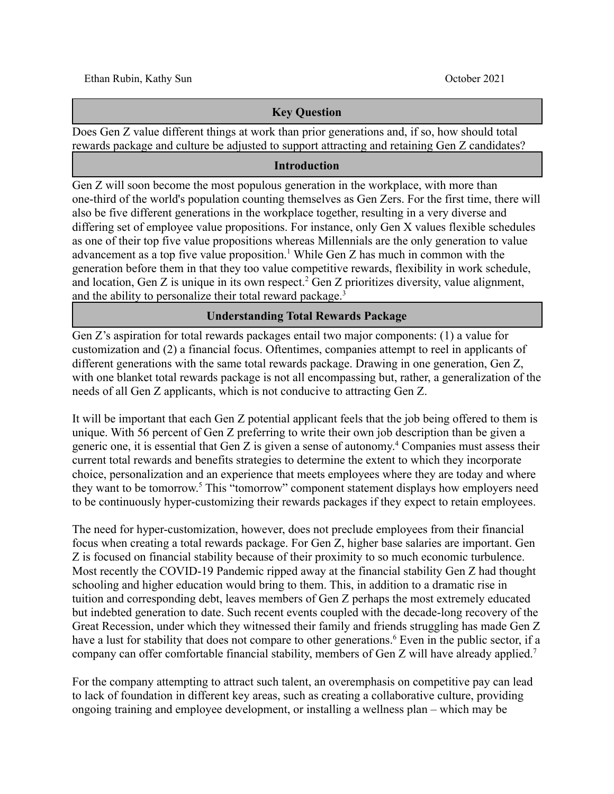### **Key Question**

Does Gen Z value different things at work than prior generations and, if so, how should total rewards package and culture be adjusted to support attracting and retaining Gen Z candidates?

### **Introduction**

Gen Z will soon become the most populous generation in the workplace, with more than one-third of the world's population counting themselves as Gen Zers. For the first time, there will also be five different generations in the workplace together, resulting in a very diverse and differing set of employee value propositions. For instance, only Gen X values flexible schedules as one of their top five value propositions whereas Millennials are the only generation to value advancement as a top five value proposition.<sup>1</sup> While Gen Z has much in common with the generation before them in that they too value competitive rewards, flexibility in work schedule, and location, Gen  $Z$  is unique in its own respect.<sup>2</sup> Gen  $Z$  prioritizes diversity, value alignment, and the ability to personalize their total reward package.<sup>3</sup>

### **Understanding Total Rewards Package**

Gen Z's aspiration for total rewards packages entail two major components: (1) a value for customization and (2) a financial focus. Oftentimes, companies attempt to reel in applicants of different generations with the same total rewards package. Drawing in one generation, Gen Z, with one blanket total rewards package is not all encompassing but, rather, a generalization of the needs of all Gen Z applicants, which is not conducive to attracting Gen Z.

It will be important that each Gen Z potential applicant feels that the job being offered to them is unique. With 56 percent of Gen Z preferring to write their own job description than be given a generic one, it is essential that Gen Z is given a sense of autonomy. <sup>4</sup> Companies must assess their current total rewards and benefits strategies to determine the extent to which they incorporate choice, personalization and an experience that meets employees where they are today and where they want to be tomorrow.5 This "tomorrow" component statement displays how employers need to be continuously hyper-customizing their rewards packages if they expect to retain employees.

The need for hyper-customization, however, does not preclude employees from their financial focus when creating a total rewards package. For Gen Z, higher base salaries are important. Gen Z is focused on financial stability because of their proximity to so much economic turbulence. Most recently the COVID-19 Pandemic ripped away at the financial stability Gen Z had thought schooling and higher education would bring to them. This, in addition to a dramatic rise in tuition and corresponding debt, leaves members of Gen Z perhaps the most extremely educated but indebted generation to date. Such recent events coupled with the decade-long recovery of the Great Recession, under which they witnessed their family and friends struggling has made Gen Z have a lust for stability that does not compare to other generations.<sup>6</sup> Even in the public sector, if a company can offer comfortable financial stability, members of Gen Z will have already applied.<sup>7</sup>

For the company attempting to attract such talent, an overemphasis on competitive pay can lead to lack of foundation in different key areas, such as creating a collaborative culture, providing ongoing training and employee development, or installing a wellness plan – which may be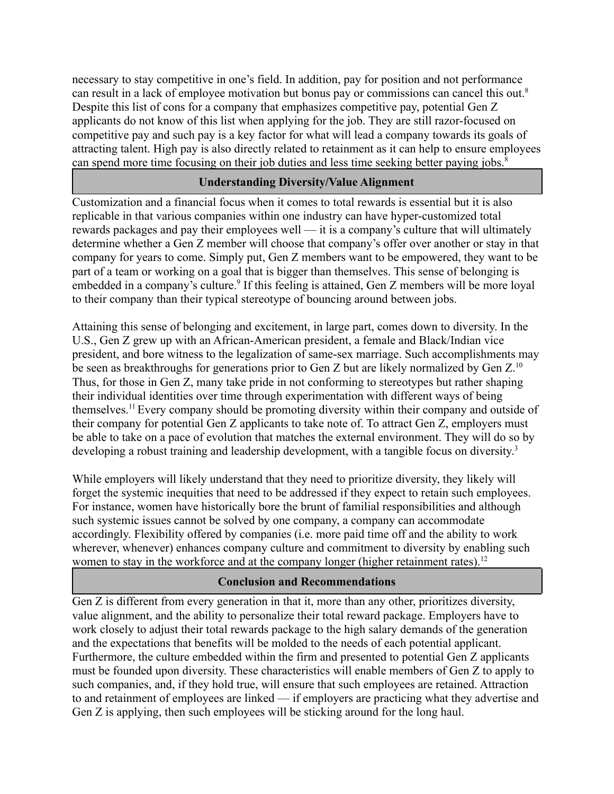necessary to stay competitive in one's field. In addition, pay for position and not performance can result in a lack of employee motivation but bonus pay or commissions can cancel this out.<sup>8</sup> Despite this list of cons for a company that emphasizes competitive pay, potential Gen Z applicants do not know of this list when applying for the job. They are still razor-focused on competitive pay and such pay is a key factor for what will lead a company towards its goals of attracting talent. High pay is also directly related to retainment as it can help to ensure employees can spend more time focusing on their job duties and less time seeking better paying jobs.<sup>8</sup>

# **Understanding Diversity/Value Alignment**

Customization and a financial focus when it comes to total rewards is essential but it is also replicable in that various companies within one industry can have hyper-customized total rewards packages and pay their employees well — it is a company's culture that will ultimately determine whether a Gen Z member will choose that company's offer over another or stay in that company for years to come. Simply put, Gen Z members want to be empowered, they want to be part of a team or working on a goal that is bigger than themselves. This sense of belonging is embedded in a company's culture.<sup>9</sup> If this feeling is attained, Gen Z members will be more loyal to their company than their typical stereotype of bouncing around between jobs.

Attaining this sense of belonging and excitement, in large part, comes down to diversity. In the U.S., Gen Z grew up with an African-American president, a female and Black/Indian vice president, and bore witness to the legalization of same-sex marriage. Such accomplishments may be seen as breakthroughs for generations prior to Gen Z but are likely normalized by Gen Z.<sup>10</sup> Thus, for those in Gen Z, many take pride in not conforming to stereotypes but rather shaping their individual identities over time through experimentation with different ways of being [themselves.11](https://themselves.11)Every company should be promoting diversity within their company and outside of their company for potential Gen Z applicants to take note of. To attract Gen Z, employers must be able to take on a pace of evolution that matches the external environment. They will do so by developing a robust training and leadership development, with a tangible focus on diversity.<sup>3</sup>

While employers will likely understand that they need to prioritize diversity, they likely will forget the systemic inequities that need to be addressed if they expect to retain such employees. For instance, women have historically bore the brunt of familial responsibilities and although such systemic issues cannot be solved by one company, a company can accommodate accordingly. Flexibility offered by companies (i.e. more paid time off and the ability to work wherever, whenever) enhances company culture and commitment to diversity by enabling such women to stay in the workforce and at the company longer (higher retainment rates).<sup>12</sup>

## **Conclusion and Recommendations**

Gen Z is different from every generation in that it, more than any other, prioritizes diversity, value alignment, and the ability to personalize their total reward package. Employers have to work closely to adjust their total rewards package to the high salary demands of the generation and the expectations that benefits will be molded to the needs of each potential applicant. Furthermore, the culture embedded within the firm and presented to potential Gen Z applicants must be founded upon diversity. These characteristics will enable members of Gen Z to apply to such companies, and, if they hold true, will ensure that such employees are retained. Attraction to and retainment of employees are linked –– if employers are practicing what they advertise and Gen Z is applying, then such employees will be sticking around for the long haul.